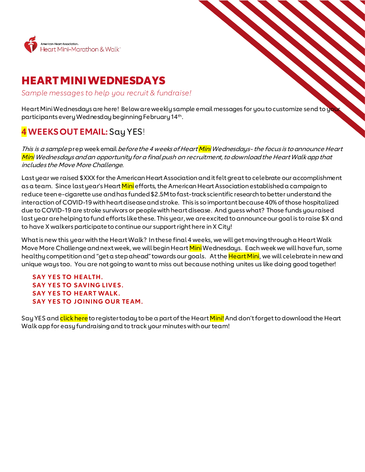

# HEART MINIWEDNESDAYS

*Sample messages to help you recruit & fundraise!*

Heart Mini Wednesdays are here! Below are weekly sample email messages for youto customize send to your participants every Wednesday beginning February 14th.

# **4 WEEKS OUT EMAIL:**Say YES!

This is a sample prep week email before the 4 weeks of Heart <mark>Mini</mark> Wednesdays- the focus is to announce Heart Mini Wednesdays and an opportunity for a final push on recruitment, to download the Heart Walk app that includes the Move More Challenge.

Last year we raised \$XXX forthe American Heart Association and it felt great to celebrate our accomplishment as a team. Since last year's Heart <mark>Mini</mark> efforts, the American Heart Association established a campaign to reduce teen e-cigarette use and has funded \$2.5M to fast-trackscientific research to better understand the interaction of COVID-19 with heart disease and stroke. This is so important because 40% of those hospitalized due to COVID-19 are stroke survivors or people with heart disease. And guess what? Those funds you raised last year are helping to fund efforts like these. This year, we are excited to announce our goal is to raise \$X and to have X walkers participateto continue our support right here in X City!

What is new this year with the Heart Walk? In these final 4 weeks, we will get movingthrough a Heart Walk Move More Challenge and next week, we will begin Heart <mark>Mini</mark> Wednesdays. Each week we will have fun, some healthy competition and "get a step ahead" towards our goals. At the Heart Mini, we will celebrate in new and unique ways too. You are not going to want to miss out because nothing unites us like doing good together!

## **SAY YES TO HEALTH. SAY YES TO SAVING LIVES. SAY YES TO HEART WALK. SAY YES TO JOINING OUR TEAM.**

Say YES and click here to register today to be a part of the Heart <mark>Mini!</mark> And don't forget to download the Heart Walk app for easy fundraisingand to track your minutes with our team!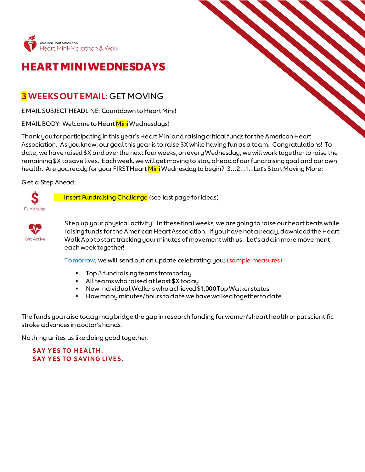

# HEART MINIWEDNESDAYS

## **3 WEEKS OUT EMAIL:** GET MOVING

EMAIL SUBJECT HEADLINE: Countdown to Heart Mini!

EMAIL BODY: Welcome to Heart Mini Wednesdays!

Thank you for participating in this year's Heart Mini and raising critical funds for the American Heart Association. As you know, our goal this year is to raise \$X while having fun as a team. Congratulations! To date, we have raised \$X and over the next four weeks, on every Wednesday, we will work together to raise the remaining \$X to save lives. Each week, we will get moving to stayahead of our fundraising goal and our own health. Are you ready for your FIRST Heart Mini Wednesday to begin? 3...2...1...Let's Start Moving More:

Get a Step Ahead:



Insert Fundraising Challenge (see last page for ideas)



Step up your physical activity! In these final weeks, we are going to raise our heart beats while raising funds for the American Heart Association. If you have not already, download the Heart Walk App to start tracking your minutes of movementwith us. Let's add in more movement each week together!

Tomorrow, we will send out an update celebrating you: (sample measures)

- Top 3 fundraising teams from today
- All teams who raised at least \$X today
- New Individual Walkers who achieved \$1,000 Top Walker status
- How many minutes/hours to date we have walked togetherto date

The funds you raise today may bridge the gap in research funding for women's heart health or put scientific stroke advances in doctor's hands.

Nothing unites us like doing good together.

**SAY YES TO HEALTH. SAY YES TO SAVING LIVES.**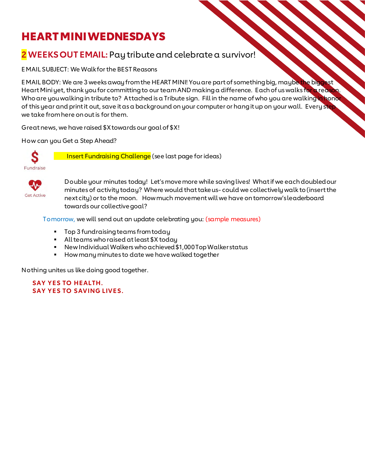# HEART MINI WEDNESDAYS

## **2 WEEKS OUT EMAIL:** Pay tribute and celebrate a survivor!

EMAIL SUBJECT: We Walk for the BEST Reasons

EMAIL BODY: We are 3 weeks away from the HEART MINI! You are part of something big, maybe the biggest Heart Mini yet, thank you for committing to our team AND making a difference. Each of us walks for a reaso Who are you walking in tribute to? Attached is a Tribute sign. Fill in the name of who you are walking in honor of this year and print it out, save it as a background on your computer or hang it up on your wall. Every step we take from here on out is for them.

Great news, we have raised \$X towards our goal of \$X!

How can you Get a Step Ahead?



Insert Fundraising Challenge (see last page for ideas)



Double your minutes today! Let's move more while saving lives! What if we each doubled our minutes of activity today? Where would that take us- could we collectively walk to (insert the next city) or to the moon. How much movement will we have on tomorrow's leaderboard towards our collective goal?

Tomorrow, we will send out an update celebrating you: (sample measures)

- Top 3 fundraising teams from today
- All teams who raised at least \$X today
- New Individual Walkers who achieved \$1,000 Top Walker status
- **How many minutes to date we have walked together**

Nothing unites us like doing good together.

**SAY YES TO HEALTH. SAY YES TO SAVING LIVES.**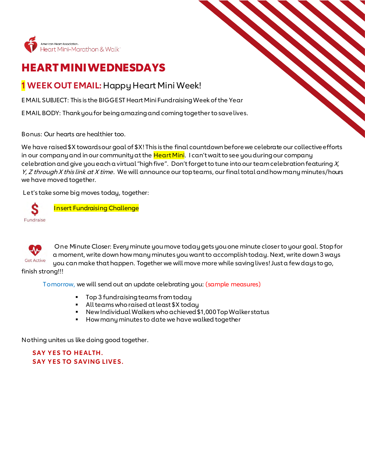

# HEART MINIWEDNESDAYS

## **1 WEEK OUT EMAIL:**Happy Heart Mini Week!

EMAIL SUBJECT: This is the BIGGEST Heart MiniFundraising Week of the Year

EMAIL BODY: Thank you for being amazing and coming together to save lives.

Bonus: Our hearts are healthier too.

We have raised \$X towards our goal of \$X! This is the final countdown before we celebrate our collective efforts in our company and in our community at the Heart Mini. I can't wait to see you during our company celebration and give you each a virtual "high five". Don't forget to tune into our team celebration featuring  $X$ , Y, Z through X this link at X time. We will announce our top teams, our final total and how many minutes/hours we have moved together.

Let's take some big moves today, together:





One Minute Closer: Every minute you move today gets you one minute closer to your goal. Stop for a moment, write down how many minutes you want to accomplish today. Next, write down 3 ways you can make that happen. Together we will move more while saving lives! Just a few days to go,

finish strong!!!

Tomorrow, we will send out an update celebrating you: (sample measures)

- Top 3 fundraising teams from today
- All teams who raised at least \$X today
- New Individual Walkers who achieved \$1,000 Top Walker status
- **How many minutes to date we have walked together**

Nothing unites us like doing good together.

**SAY YES TO HEALTH. SAY YES TO SAVING LIVES.**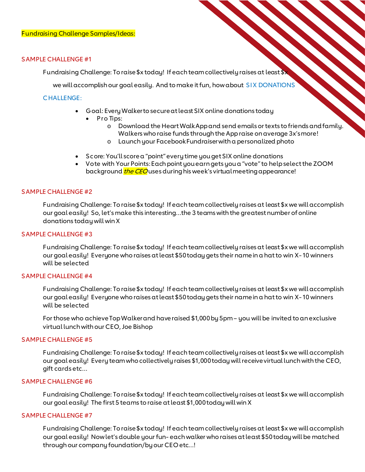#### SAMPLE CHALLENGE #1

Fundraising Challenge: Toraise \$x today! If each team collectively raises at least \$x

we will accomplish our goal easily. And to make it fun, how about SIX DONATIONS

### CHALLENGE:

- Goal: Every Walker to secure at least SIX online donations today
	- Pro Tips:
		- o Download the Heart Walk App and send emails or texts to friends and family. Walkers who raise funds through the App raise on average 3x's more!
		- o Launch your Facebook Fundraiserwith a personalized photo
- Score: You'll score a "point" every time you get SIX online donations
- Vote with Your Points:Each point you earn gets you a "vote" to help select the ZOOM background *the CEO* uses during his week's virtual meeting appearance!

#### SAMPLE CHALLENGE #2

Fundraising Challenge: Toraise \$x today! If each team collectively raises at least \$x we will accomplish our goal easily! So, let's make this interesting…the 3 teams with the greatestnumber of online donations today will win X

#### SAMPLE CHALLENGE #3

Fundraising Challenge: Toraise \$x today! If each team collectively raises at least \$x we will accomplish our goal easily! Everyone who raises at least \$50 today gets their name in a hat to win X- 10 winners will be selected

### SAMPLE CHALLENGE #4

Fundraising Challenge: Toraise \$x today! If each team collectively raises at least \$x we will accomplish our goal easily! Everyone who raises at least \$50 today gets their name in a hat to win X- 10 winners will be selected

For those who achieve Top Walker and have raised \$1,000 by 5pm – you will be invited to an exclusive virtual lunch with our CEO, Joe Bishop

#### SAMPLE CHALLENGE #5

Fundraising Challenge: To raise \$x today! If each team collectively raises at least \$x we will accomplish our goal easily! Every team who collectively raises \$1,000 today will receive virtual lunch with the CEO, gift cards etc…

#### SAMPLE CHALLENGE #6

Fundraising Challenge: Toraise \$x today! If each team collectively raises at least\$x we will accomplish our goal easily! The first 5 teams to raise at least \$1,000 today will win X

#### SAMPLE CHALLENGE #7

Fundraising Challenge: Toraise \$x today! If each team collectively raises at least \$x we will accomplish our goal easily! Now let's double your fun- each walker who raises at least \$50 today will be matched through our company foundation/by our CEO etc…!